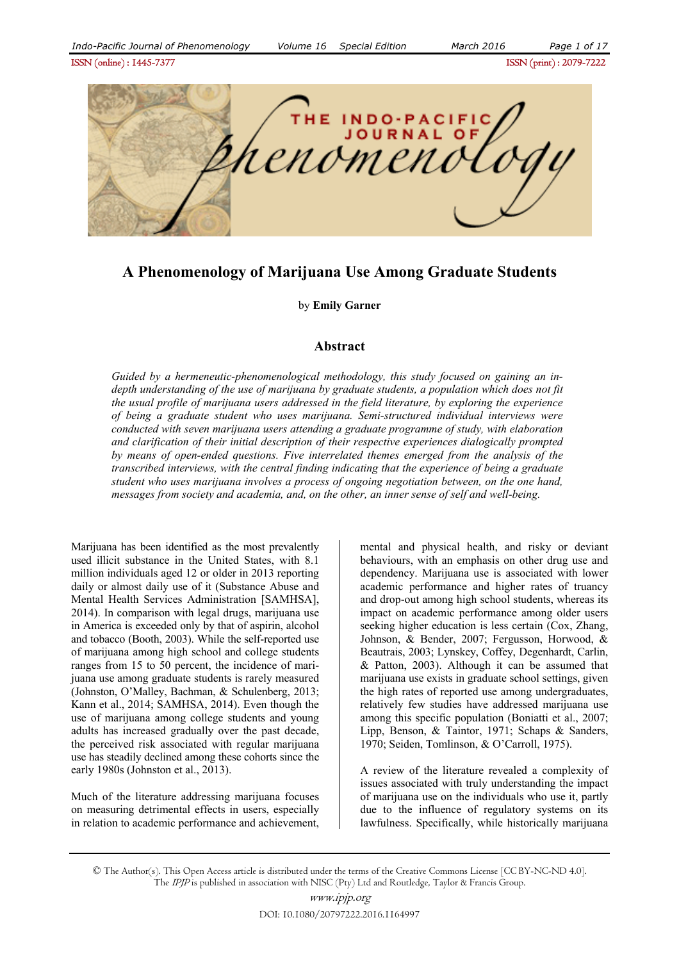ISSN (online) : 1445-7377ISSN (print) : 2079-7222



# **A Phenomenology of Marijuana Use Among Graduate Students**

by **Emily Garner** 

## **Abstract**

*Guided by a hermeneutic-phenomenological methodology, this study focused on gaining an in*depth understanding of the use of marijuana by graduate students, a population which does not fit *the usual profile of marijuana users addressed in the field literature, by exploring the experience of being a graduate student who uses marijuana. Semi-structured individual interviews were conducted with seven marijuana users attending a graduate programme of study, with elaboration and clarification of their initial description of their respective experiences dialogically prompted by means of open-ended questions. Five interrelated themes emerged from the analysis of the transcribed interviews, with the central finding indicating that the experience of being a graduate student who uses marijuana involves a process of ongoing negotiation between, on the one hand, messages from society and academia, and, on the other, an inner sense of self and well-being.*

Marijuana has been identified as the most prevalently used illicit substance in the United States, with 8.1 million individuals aged 12 or older in 2013 reporting daily or almost daily use of it (Substance Abuse and Mental Health Services Administration [SAMHSA], 2014). In comparison with legal drugs, marijuana use in America is exceeded only by that of aspirin, alcohol and tobacco (Booth, 2003). While the self-reported use of marijuana among high school and college students ranges from 15 to 50 percent, the incidence of marijuana use among graduate students is rarely measured (Johnston, O'Malley, Bachman, & Schulenberg, 2013; Kann et al., 2014; SAMHSA, 2014). Even though the use of marijuana among college students and young adults has increased gradually over the past decade, the perceived risk associated with regular marijuana use has steadily declined among these cohorts since the early 1980s (Johnston et al., 2013).

Much of the literature addressing marijuana focuses on measuring detrimental effects in users, especially in relation to academic performance and achievement,

mental and physical health, and risky or deviant behaviours, with an emphasis on other drug use and dependency. Marijuana use is associated with lower academic performance and higher rates of truancy and drop-out among high school students, whereas its impact on academic performance among older users seeking higher education is less certain (Cox, Zhang, Johnson, & Bender, 2007; Fergusson, Horwood, & Beautrais, 2003; Lynskey, Coffey, Degenhardt, Carlin, & Patton, 2003). Although it can be assumed that marijuana use exists in graduate school settings, given the high rates of reported use among undergraduates, relatively few studies have addressed marijuana use among this specific population (Boniatti et al., 2007; Lipp, Benson, & Taintor, 1971; Schaps & Sanders, 1970; Seiden, Tomlinson, & O'Carroll, 1975).

A review of the literature revealed a complexity of issues associated with truly understanding the impact of marijuana use on the individuals who use it, partly due to the influence of regulatory systems on its lawfulness. Specifically, while historically marijuana

© The Author(s). This Open Access article is distributed under the terms of the Creative Commons License [CC BY-NC-ND 4.0]. The IPJP is published in association with NISC (Pty) Ltd and Routledge, Taylor & Francis Group.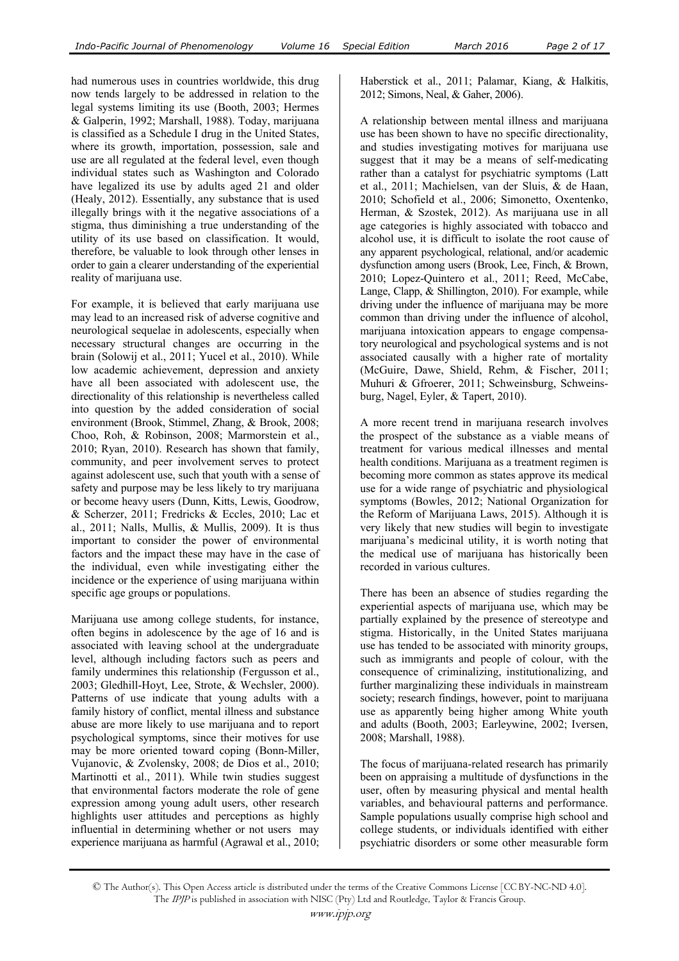had numerous uses in countries worldwide, this drug now tends largely to be addressed in relation to the legal systems limiting its use (Booth, 2003; Hermes & Galperin, 1992; Marshall, 1988). Today, marijuana is classified as a Schedule I drug in the United States, where its growth, importation, possession, sale and use are all regulated at the federal level, even though individual states such as Washington and Colorado have legalized its use by adults aged 21 and older (Healy, 2012). Essentially, any substance that is used illegally brings with it the negative associations of a stigma, thus diminishing a true understanding of the utility of its use based on classification. It would, therefore, be valuable to look through other lenses in order to gain a clearer understanding of the experiential reality of marijuana use.

For example, it is believed that early marijuana use may lead to an increased risk of adverse cognitive and neurological sequelae in adolescents, especially when necessary structural changes are occurring in the brain (Solowij et al., 2011; Yucel et al., 2010). While low academic achievement, depression and anxiety have all been associated with adolescent use, the directionality of this relationship is nevertheless called into question by the added consideration of social environment (Brook, Stimmel, Zhang, & Brook, 2008; Choo, Roh, & Robinson, 2008; Marmorstein et al., 2010; Ryan, 2010). Research has shown that family, community, and peer involvement serves to protect against adolescent use, such that youth with a sense of safety and purpose may be less likely to try marijuana or become heavy users (Dunn, Kitts, Lewis, Goodrow, & Scherzer, 2011; Fredricks & Eccles, 2010; Lac et al., 2011; Nalls, Mullis, & Mullis, 2009). It is thus important to consider the power of environmental factors and the impact these may have in the case of the individual, even while investigating either the incidence or the experience of using marijuana within specific age groups or populations.

Marijuana use among college students, for instance, often begins in adolescence by the age of 16 and is associated with leaving school at the undergraduate level, although including factors such as peers and family undermines this relationship (Fergusson et al., 2003; Gledhill-Hoyt, Lee, Strote, & Wechsler, 2000). Patterns of use indicate that young adults with a family history of conflict, mental illness and substance abuse are more likely to use marijuana and to report psychological symptoms, since their motives for use may be more oriented toward coping (Bonn-Miller, Vujanovic, & Zvolensky, 2008; de Dios et al., 2010; Martinotti et al., 2011). While twin studies suggest that environmental factors moderate the role of gene expression among young adult users, other research highlights user attitudes and perceptions as highly influential in determining whether or not users may experience marijuana as harmful (Agrawal et al., 2010; Haberstick et al., 2011; Palamar, Kiang, & Halkitis, 2012; Simons, Neal, & Gaher, 2006).

A relationship between mental illness and marijuana use has been shown to have no specific directionality, and studies investigating motives for marijuana use suggest that it may be a means of self-medicating rather than a catalyst for psychiatric symptoms (Latt et al., 2011; Machielsen, van der Sluis, & de Haan, 2010; Schofield et al., 2006; Simonetto, Oxentenko, Herman, & Szostek, 2012). As marijuana use in all age categories is highly associated with tobacco and alcohol use, it is difficult to isolate the root cause of any apparent psychological, relational, and/or academic dysfunction among users (Brook, Lee, Finch, & Brown, 2010; Lopez-Quintero et al., 2011; Reed, McCabe, Lange, Clapp, & Shillington, 2010). For example, while driving under the influence of marijuana may be more common than driving under the influence of alcohol, marijuana intoxication appears to engage compensatory neurological and psychological systems and is not associated causally with a higher rate of mortality (McGuire, Dawe, Shield, Rehm, & Fischer, 2011; Muhuri & Gfroerer, 2011; Schweinsburg, Schweinsburg, Nagel, Eyler, & Tapert, 2010).

A more recent trend in marijuana research involves the prospect of the substance as a viable means of treatment for various medical illnesses and mental health conditions. Marijuana as a treatment regimen is becoming more common as states approve its medical use for a wide range of psychiatric and physiological symptoms (Bowles, 2012; National Organization for the Reform of Marijuana Laws, 2015). Although it is very likely that new studies will begin to investigate marijuana's medicinal utility, it is worth noting that the medical use of marijuana has historically been recorded in various cultures.

There has been an absence of studies regarding the experiential aspects of marijuana use, which may be partially explained by the presence of stereotype and stigma. Historically, in the United States marijuana use has tended to be associated with minority groups, such as immigrants and people of colour, with the consequence of criminalizing, institutionalizing, and further marginalizing these individuals in mainstream society; research findings, however, point to marijuana use as apparently being higher among White youth and adults (Booth, 2003; Earleywine, 2002; Iversen, 2008; Marshall, 1988).

The focus of marijuana-related research has primarily been on appraising a multitude of dysfunctions in the user, often by measuring physical and mental health variables, and behavioural patterns and performance. Sample populations usually comprise high school and college students, or individuals identified with either psychiatric disorders or some other measurable form

<sup>©</sup> The Author(s). This Open Access article is distributed under the terms of the Creative Commons License [CC BY-NC-ND 4.0]. The IPJP is published in association with NISC (Pty) Ltd and Routledge, Taylor & Francis Group.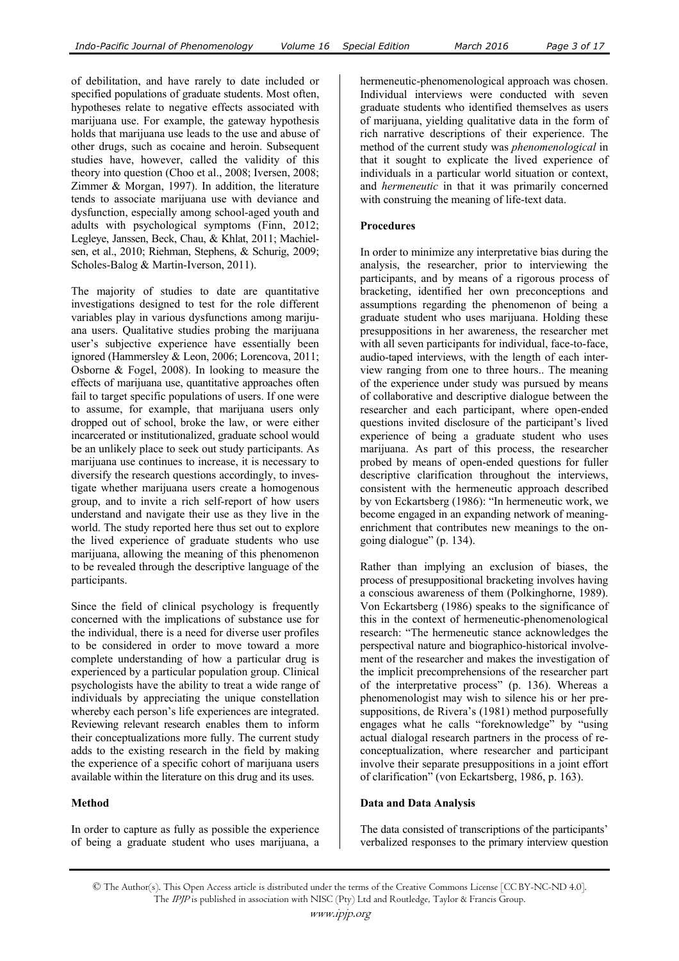of debilitation, and have rarely to date included or specified populations of graduate students. Most often, hypotheses relate to negative effects associated with marijuana use. For example, the gateway hypothesis holds that marijuana use leads to the use and abuse of other drugs, such as cocaine and heroin. Subsequent studies have, however, called the validity of this theory into question (Choo et al., 2008; Iversen, 2008; Zimmer & Morgan, 1997). In addition, the literature tends to associate marijuana use with deviance and dysfunction, especially among school-aged youth and adults with psychological symptoms (Finn, 2012; Legleye, Janssen, Beck, Chau, & Khlat, 2011; Machielsen, et al., 2010; Riehman, Stephens, & Schurig, 2009; Scholes-Balog & Martin-Iverson, 2011).

The majority of studies to date are quantitative investigations designed to test for the role different variables play in various dysfunctions among marijuana users. Qualitative studies probing the marijuana user's subjective experience have essentially been ignored (Hammersley & Leon, 2006; Lorencova, 2011; Osborne & Fogel, 2008). In looking to measure the effects of marijuana use, quantitative approaches often fail to target specific populations of users. If one were to assume, for example, that marijuana users only dropped out of school, broke the law, or were either incarcerated or institutionalized, graduate school would be an unlikely place to seek out study participants. As marijuana use continues to increase, it is necessary to diversify the research questions accordingly, to investigate whether marijuana users create a homogenous group, and to invite a rich self-report of how users understand and navigate their use as they live in the world. The study reported here thus set out to explore the lived experience of graduate students who use marijuana, allowing the meaning of this phenomenon to be revealed through the descriptive language of the participants.

Since the field of clinical psychology is frequently concerned with the implications of substance use for the individual, there is a need for diverse user profiles to be considered in order to move toward a more complete understanding of how a particular drug is experienced by a particular population group. Clinical psychologists have the ability to treat a wide range of individuals by appreciating the unique constellation whereby each person's life experiences are integrated. Reviewing relevant research enables them to inform their conceptualizations more fully. The current study adds to the existing research in the field by making the experience of a specific cohort of marijuana users available within the literature on this drug and its uses.

### **Method**

In order to capture as fully as possible the experience of being a graduate student who uses marijuana, a hermeneutic-phenomenological approach was chosen. Individual interviews were conducted with seven graduate students who identified themselves as users of marijuana, yielding qualitative data in the form of rich narrative descriptions of their experience. The method of the current study was *phenomenological* in that it sought to explicate the lived experience of individuals in a particular world situation or context, and *hermeneutic* in that it was primarily concerned with construing the meaning of life-text data.

### **Procedures**

In order to minimize any interpretative bias during the analysis, the researcher, prior to interviewing the participants, and by means of a rigorous process of bracketing, identified her own preconceptions and assumptions regarding the phenomenon of being a graduate student who uses marijuana. Holding these presuppositions in her awareness, the researcher met with all seven participants for individual, face-to-face, audio-taped interviews, with the length of each interview ranging from one to three hours.. The meaning of the experience under study was pursued by means of collaborative and descriptive dialogue between the researcher and each participant, where open-ended questions invited disclosure of the participant's lived experience of being a graduate student who uses marijuana. As part of this process, the researcher probed by means of open-ended questions for fuller descriptive clarification throughout the interviews, consistent with the hermeneutic approach described by von Eckartsberg (1986): "In hermeneutic work, we become engaged in an expanding network of meaningenrichment that contributes new meanings to the ongoing dialogue" (p. 134).

Rather than implying an exclusion of biases, the process of presuppositional bracketing involves having a conscious awareness of them (Polkinghorne, 1989). Von Eckartsberg (1986) speaks to the significance of this in the context of hermeneutic-phenomenological research: "The hermeneutic stance acknowledges the perspectival nature and biographico-historical involvement of the researcher and makes the investigation of the implicit precomprehensions of the researcher part of the interpretative process" (p. 136). Whereas a phenomenologist may wish to silence his or her presuppositions, de Rivera's (1981) method purposefully engages what he calls "foreknowledge" by "using actual dialogal research partners in the process of reconceptualization, where researcher and participant involve their separate presuppositions in a joint effort of clarification" (von Eckartsberg, 1986, p. 163).

### **Data and Data Analysis**

The data consisted of transcriptions of the participants' verbalized responses to the primary interview question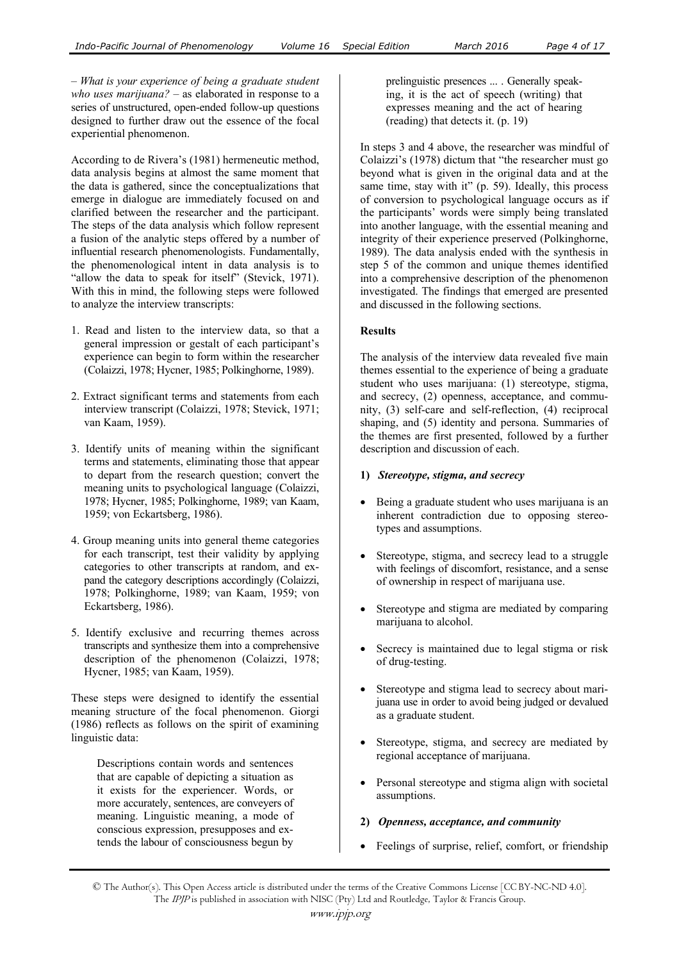– *What is your experience of being a graduate student who uses marijuana?* – as elaborated in response to a series of unstructured, open-ended follow-up questions designed to further draw out the essence of the focal experiential phenomenon.

According to de Rivera's (1981) hermeneutic method, data analysis begins at almost the same moment that the data is gathered, since the conceptualizations that emerge in dialogue are immediately focused on and clarified between the researcher and the participant. The steps of the data analysis which follow represent a fusion of the analytic steps offered by a number of influential research phenomenologists. Fundamentally, the phenomenological intent in data analysis is to "allow the data to speak for itself" (Stevick, 1971). With this in mind, the following steps were followed to analyze the interview transcripts:

- 1. Read and listen to the interview data, so that a general impression or gestalt of each participant's experience can begin to form within the researcher (Colaizzi, 1978; Hycner, 1985; Polkinghorne, 1989).
- 2. Extract significant terms and statements from each interview transcript (Colaizzi, 1978; Stevick, 1971; van Kaam, 1959).
- 3. Identify units of meaning within the significant terms and statements, eliminating those that appear to depart from the research question; convert the meaning units to psychological language (Colaizzi, 1978; Hycner, 1985; Polkinghorne, 1989; van Kaam, 1959; von Eckartsberg, 1986).
- 4. Group meaning units into general theme categories for each transcript, test their validity by applying categories to other transcripts at random, and expand the category descriptions accordingly (Colaizzi, 1978; Polkinghorne, 1989; van Kaam, 1959; von Eckartsberg, 1986).
- 5. Identify exclusive and recurring themes across transcripts and synthesize them into a comprehensive description of the phenomenon (Colaizzi, 1978; Hycner, 1985; van Kaam, 1959).

These steps were designed to identify the essential meaning structure of the focal phenomenon. Giorgi (1986) reflects as follows on the spirit of examining linguistic data:

> Descriptions contain words and sentences that are capable of depicting a situation as it exists for the experiencer. Words, or more accurately, sentences, are conveyers of meaning. Linguistic meaning, a mode of conscious expression, presupposes and extends the labour of consciousness begun by

prelinguistic presences ... . Generally speaking, it is the act of speech (writing) that expresses meaning and the act of hearing (reading) that detects it. (p. 19)

In steps 3 and 4 above, the researcher was mindful of Colaizzi's (1978) dictum that "the researcher must go beyond what is given in the original data and at the same time, stay with it" (p. 59). Ideally, this process of conversion to psychological language occurs as if the participants' words were simply being translated into another language, with the essential meaning and integrity of their experience preserved (Polkinghorne, 1989). The data analysis ended with the synthesis in step 5 of the common and unique themes identified into a comprehensive description of the phenomenon investigated. The findings that emerged are presented and discussed in the following sections.

## **Results**

The analysis of the interview data revealed five main themes essential to the experience of being a graduate student who uses marijuana: (1) stereotype, stigma, and secrecy, (2) openness, acceptance, and community, (3) self-care and self-reflection, (4) reciprocal shaping, and (5) identity and persona. Summaries of the themes are first presented, followed by a further description and discussion of each.

### **1)** *Stereotype, stigma, and secrecy*

- Being a graduate student who uses marijuana is an inherent contradiction due to opposing stereotypes and assumptions.
- Stereotype, stigma, and secrecy lead to a struggle with feelings of discomfort, resistance, and a sense of ownership in respect of marijuana use.
- Stereotype and stigma are mediated by comparing marijuana to alcohol.
- Secrecy is maintained due to legal stigma or risk of drug-testing.
- Stereotype and stigma lead to secrecy about marijuana use in order to avoid being judged or devalued as a graduate student.
- Stereotype, stigma, and secrecy are mediated by regional acceptance of marijuana.
- Personal stereotype and stigma align with societal assumptions.

### **2)** *Openness, acceptance, and community*

• Feelings of surprise, relief, comfort, or friendship

© The Author(s). This Open Access article is distributed under the terms of the Creative Commons License [CC BY-NC-ND 4.0]. The IPJP is published in association with NISC (Pty) Ltd and Routledge, Taylor & Francis Group.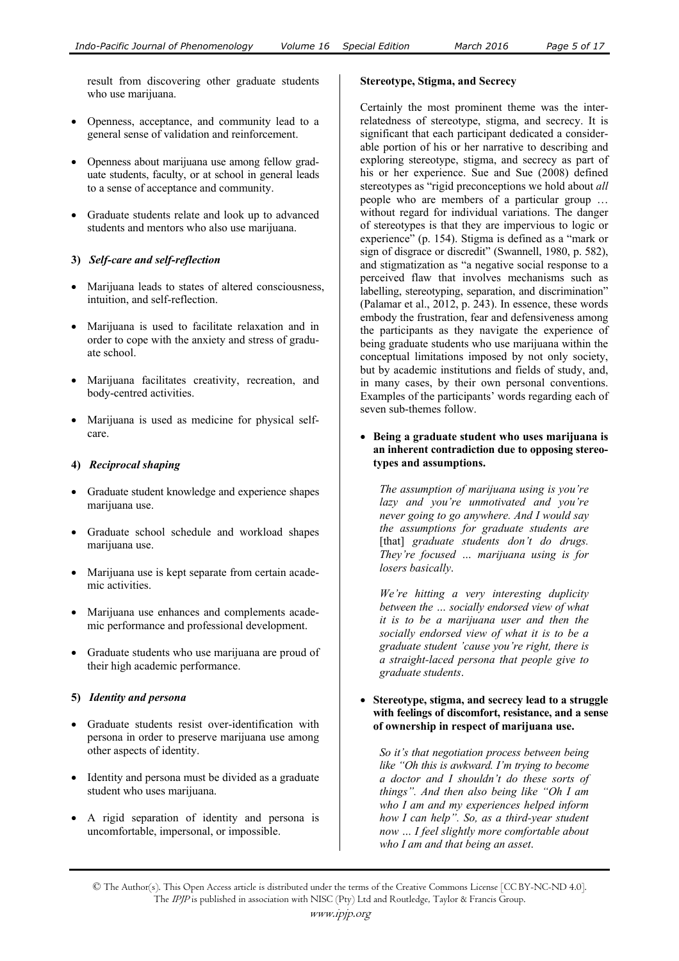result from discovering other graduate students who use marijuana.

- Openness, acceptance, and community lead to a general sense of validation and reinforcement.
- Openness about marijuana use among fellow graduate students, faculty, or at school in general leads to a sense of acceptance and community.
- Graduate students relate and look up to advanced students and mentors who also use marijuana.

## **3)** *Self-care and self-reflection*

- Marijuana leads to states of altered consciousness, intuition, and self-reflection.
- Marijuana is used to facilitate relaxation and in order to cope with the anxiety and stress of graduate school.
- Marijuana facilitates creativity, recreation, and body-centred activities.
- Marijuana is used as medicine for physical selfcare.

### **4)** *Reciprocal shaping*

- Graduate student knowledge and experience shapes marijuana use.
- Graduate school schedule and workload shapes marijuana use.
- Marijuana use is kept separate from certain academic activities.
- Marijuana use enhances and complements academic performance and professional development.
- Graduate students who use marijuana are proud of their high academic performance.

### **5)** *Identity and persona*

- Graduate students resist over-identification with persona in order to preserve marijuana use among other aspects of identity.
- Identity and persona must be divided as a graduate student who uses marijuana.
- A rigid separation of identity and persona is uncomfortable, impersonal, or impossible.

# **Stereotype, Stigma, and Secrecy**

Certainly the most prominent theme was the interrelatedness of stereotype, stigma, and secrecy. It is significant that each participant dedicated a considerable portion of his or her narrative to describing and exploring stereotype, stigma, and secrecy as part of his or her experience. Sue and Sue (2008) defined stereotypes as "rigid preconceptions we hold about *all* people who are members of a particular group … without regard for individual variations. The danger of stereotypes is that they are impervious to logic or experience" (p. 154). Stigma is defined as a "mark or sign of disgrace or discredit" (Swannell, 1980, p. 582), and stigmatization as "a negative social response to a perceived flaw that involves mechanisms such as labelling, stereotyping, separation, and discrimination" (Palamar et al., 2012, p. 243). In essence, these words embody the frustration, fear and defensiveness among the participants as they navigate the experience of being graduate students who use marijuana within the conceptual limitations imposed by not only society, but by academic institutions and fields of study, and, in many cases, by their own personal conventions. Examples of the participants' words regarding each of seven sub-themes follow.

• **Being a graduate student who uses marijuana is an inherent contradiction due to opposing stereotypes and assumptions.** 

*The assumption of marijuana using is you're lazy and you're unmotivated and you're never going to go anywhere. And I would say the assumptions for graduate students are* [that] *graduate students don't do drugs. They're focused … marijuana using is for losers basically*.

*We're hitting a very interesting duplicity between the … socially endorsed view of what it is to be a marijuana user and then the socially endorsed view of what it is to be a graduate student 'cause you're right, there is a straight-laced persona that people give to graduate students*.

• **Stereotype, stigma, and secrecy lead to a struggle with feelings of discomfort, resistance, and a sense of ownership in respect of marijuana use.** 

*So it's that negotiation process between being like "Oh this is awkward. I'm trying to become a doctor and I shouldn't do these sorts of things". And then also being like "Oh I am who I am and my experiences helped inform how I can help". So, as a third-year student now … I feel slightly more comfortable about who I am and that being an asset*.

<sup>©</sup> The Author(s). This Open Access article is distributed under the terms of the Creative Commons License [CC BY-NC-ND 4.0]. The IPJP is published in association with NISC (Pty) Ltd and Routledge, Taylor & Francis Group.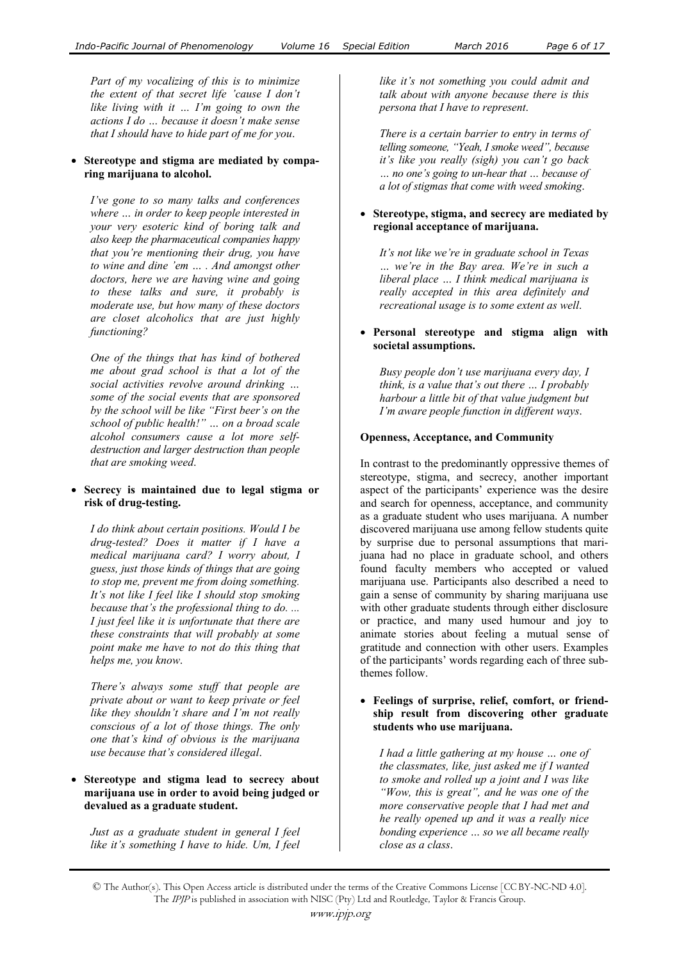*Part of my vocalizing of this is to minimize the extent of that secret life 'cause I don't like living with it … I'm going to own the actions I do … because it doesn't make sense that I should have to hide part of me for you*.

#### • **Stereotype and stigma are mediated by comparing marijuana to alcohol.**

*I've gone to so many talks and conferences where … in order to keep people interested in your very esoteric kind of boring talk and also keep the pharmaceutical companies happy that you're mentioning their drug, you have to wine and dine 'em … . And amongst other doctors, here we are having wine and going to these talks and sure, it probably is moderate use, but how many of these doctors are closet alcoholics that are just highly functioning?*

*One of the things that has kind of bothered me about grad school is that a lot of the social activities revolve around drinking … some of the social events that are sponsored by the school will be like "First beer's on the school of public health!" … on a broad scale alcohol consumers cause a lot more selfdestruction and larger destruction than people that are smoking weed*.

#### • **Secrecy is maintained due to legal stigma or risk of drug-testing.**

*I do think about certain positions. Would I be drug-tested? Does it matter if I have a medical marijuana card? I worry about, I guess, just those kinds of things that are going to stop me, prevent me from doing something. It's not like I feel like I should stop smoking because that's the professional thing to do. ... I just feel like it is unfortunate that there are these constraints that will probably at some point make me have to not do this thing that helps me, you know*.

*There's always some stuff that people are private about or want to keep private or feel like they shouldn't share and I'm not really conscious of a lot of those things. The only one that's kind of obvious is the marijuana use because that's considered illegal*.

### • **Stereotype and stigma lead to secrecy about marijuana use in order to avoid being judged or devalued as a graduate student.**

*Just as a graduate student in general I feel like it's something I have to hide. Um, I feel*  *like it's not something you could admit and talk about with anyone because there is this persona that I have to represent*.

*There is a certain barrier to entry in terms of telling someone, "Yeah, I smoke weed", because it's like you really (sigh) you can't go back … no one's going to un-hear that … because of a lot of stigmas that come with weed smoking*.

#### • **Stereotype, stigma, and secrecy are mediated by regional acceptance of marijuana.**

*It's not like we're in graduate school in Texas … we're in the Bay area. We're in such a liberal place … I think medical marijuana is really accepted in this area definitely and recreational usage is to some extent as well*.

### • **Personal stereotype and stigma align with societal assumptions.**

*Busy people don't use marijuana every day, I think, is a value that's out there … I probably harbour a little bit of that value judgment but I'm aware people function in different ways*.

### **Openness, Acceptance, and Community**

In contrast to the predominantly oppressive themes of stereotype, stigma, and secrecy, another important aspect of the participants' experience was the desire and search for openness, acceptance, and community as a graduate student who uses marijuana. A number discovered marijuana use among fellow students quite by surprise due to personal assumptions that marijuana had no place in graduate school, and others found faculty members who accepted or valued marijuana use. Participants also described a need to gain a sense of community by sharing marijuana use with other graduate students through either disclosure or practice, and many used humour and joy to animate stories about feeling a mutual sense of gratitude and connection with other users. Examples of the participants' words regarding each of three subthemes follow.

#### Feelings of surprise, relief, comfort, or friend**ship result from discovering other graduate students who use marijuana.**

*I had a little gathering at my house … one of the classmates, like, just asked me if I wanted to smoke and rolled up a joint and I was like "Wow, this is great", and he was one of the more conservative people that I had met and he really opened up and it was a really nice bonding experience … so we all became really close as a class*.

<sup>©</sup> The Author(s). This Open Access article is distributed under the terms of the Creative Commons License [CC BY-NC-ND 4.0]. The IPJP is published in association with NISC (Pty) Ltd and Routledge, Taylor & Francis Group.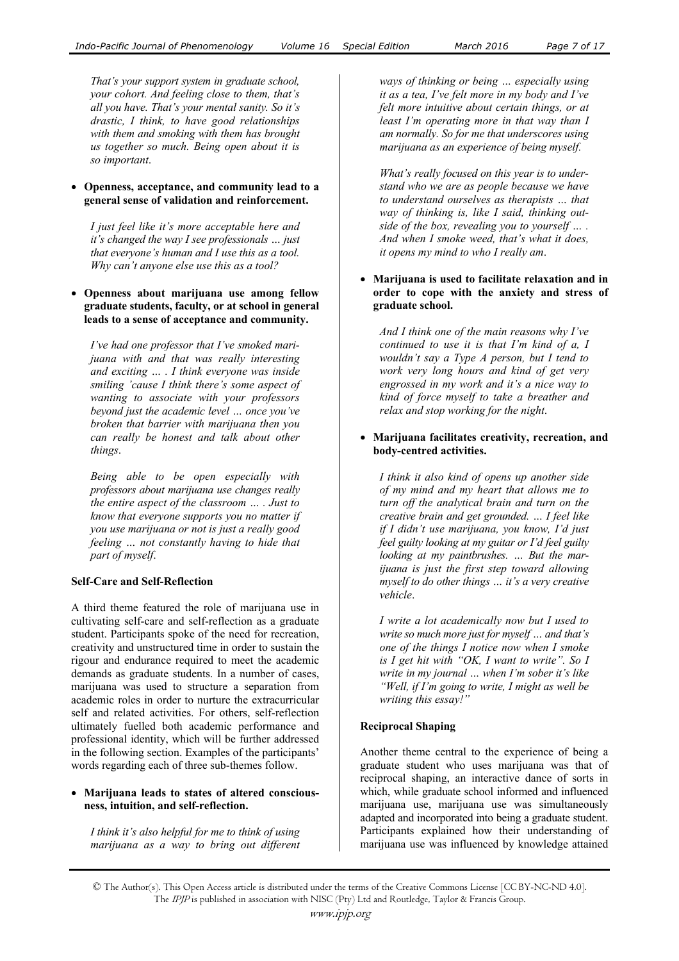*That's your support system in graduate school, your cohort. And feeling close to them, that's all you have. That's your mental sanity. So it's drastic, I think, to have good relationships with them and smoking with them has brought us together so much. Being open about it is so important*.

### • **Openness, acceptance, and community lead to a general sense of validation and reinforcement.**

*I just feel like it's more acceptable here and it's changed the way I see professionals … just that everyone's human and I use this as a tool. Why can't anyone else use this as a tool?*

#### • **Openness about marijuana use among fellow graduate students, faculty, or at school in general leads to a sense of acceptance and community.**

*I've had one professor that I've smoked marijuana with and that was really interesting and exciting … . I think everyone was inside smiling 'cause I think there's some aspect of wanting to associate with your professors beyond just the academic level … once you've broken that barrier with marijuana then you can really be honest and talk about other things*.

*Being able to be open especially with professors about marijuana use changes really the entire aspect of the classroom … . Just to know that everyone supports you no matter if you use marijuana or not is just a really good feeling … not constantly having to hide that part of myself*.

# **Self-Care and Self-Reflection**

A third theme featured the role of marijuana use in cultivating self-care and self-reflection as a graduate student. Participants spoke of the need for recreation, creativity and unstructured time in order to sustain the rigour and endurance required to meet the academic demands as graduate students. In a number of cases, marijuana was used to structure a separation from academic roles in order to nurture the extracurricular self and related activities. For others, self-reflection ultimately fuelled both academic performance and professional identity, which will be further addressed in the following section. Examples of the participants' words regarding each of three sub-themes follow.

### • **Marijuana leads to states of altered consciousness, intuition, and self-reflection.**

*I think it's also helpful for me to think of using marijuana as a way to bring out different* 

*ways of thinking or being … especially using it as a tea, I've felt more in my body and I've felt more intuitive about certain things, or at least I'm operating more in that way than I am normally. So for me that underscores using marijuana as an experience of being myself.*

*What's really focused on this year is to understand who we are as people because we have to understand ourselves as therapists … that way of thinking is, like I said, thinking outside of the box, revealing you to yourself … . And when I smoke weed, that's what it does, it opens my mind to who I really am*.

• **Marijuana is used to facilitate relaxation and in order to cope with the anxiety and stress of graduate school.** 

*And I think one of the main reasons why I've continued to use it is that I'm kind of a, I wouldn't say a Type A person, but I tend to work very long hours and kind of get very engrossed in my work and it's a nice way to kind of force myself to take a breather and relax and stop working for the night*.

### • **Marijuana facilitates creativity, recreation, and body-centred activities.**

*I think it also kind of opens up another side of my mind and my heart that allows me to turn off the analytical brain and turn on the creative brain and get grounded. … I feel like if I didn't use marijuana, you know, I'd just feel guilty looking at my guitar or I'd feel guilty looking at my paintbrushes. … But the marijuana is just the first step toward allowing myself to do other things … it's a very creative vehicle*.

*I write a lot academically now but I used to write so much more just for myself … and that's one of the things I notice now when I smoke is I get hit with "OK, I want to write". So I write in my journal … when I'm sober it's like "Well, if I'm going to write, I might as well be writing this essay!"* 

# **Reciprocal Shaping**

Another theme central to the experience of being a graduate student who uses marijuana was that of reciprocal shaping, an interactive dance of sorts in which, while graduate school informed and influenced marijuana use, marijuana use was simultaneously adapted and incorporated into being a graduate student. Participants explained how their understanding of marijuana use was influenced by knowledge attained

© The Author(s). This Open Access article is distributed under the terms of the Creative Commons License [CC BY-NC-ND 4.0]. The IPJP is published in association with NISC (Pty) Ltd and Routledge, Taylor & Francis Group.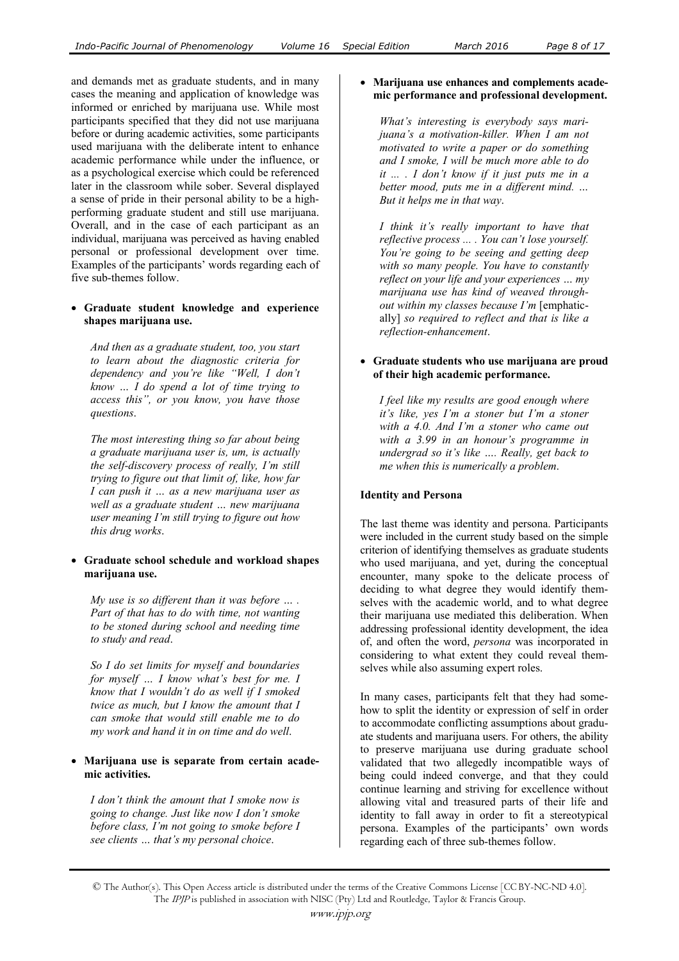and demands met as graduate students, and in many cases the meaning and application of knowledge was informed or enriched by marijuana use. While most participants specified that they did not use marijuana before or during academic activities, some participants used marijuana with the deliberate intent to enhance academic performance while under the influence, or as a psychological exercise which could be referenced later in the classroom while sober. Several displayed a sense of pride in their personal ability to be a highperforming graduate student and still use marijuana. Overall, and in the case of each participant as an individual, marijuana was perceived as having enabled personal or professional development over time. Examples of the participants' words regarding each of five sub-themes follow.

#### • **Graduate student knowledge and experience shapes marijuana use.**

*And then as a graduate student, too, you start to learn about the diagnostic criteria for dependency and you're like "Well, I don't know … I do spend a lot of time trying to access this", or you know, you have those questions*.

*The most interesting thing so far about being a graduate marijuana user is, um, is actually the self-discovery process of really, I'm still trying to figure out that limit of, like, how far I can push it … as a new marijuana user as well as a graduate student … new marijuana user meaning I'm still trying to figure out how this drug works*.

### • **Graduate school schedule and workload shapes marijuana use.**

*My use is so different than it was before … . Part of that has to do with time, not wanting to be stoned during school and needing time to study and read*.

*So I do set limits for myself and boundaries for myself … I know what's best for me. I know that I wouldn't do as well if I smoked twice as much, but I know the amount that I can smoke that would still enable me to do my work and hand it in on time and do well*.

#### • **Marijuana use is separate from certain academic activities.**

*I don't think the amount that I smoke now is going to change. Just like now I don't smoke before class, I'm not going to smoke before I see clients … that's my personal choice*.

# • **Marijuana use enhances and complements academic performance and professional development.**

*What's interesting is everybody says marijuana's a motivation-killer. When I am not motivated to write a paper or do something and I smoke, I will be much more able to do it ... . I don't know if it just puts me in a better mood, puts me in a different mind. … But it helps me in that way*.

*I think it's really important to have that reflective process ... . You can't lose yourself. You're going to be seeing and getting deep with so many people. You have to constantly reflect on your life and your experiences … my marijuana use has kind of weaved throughout within my classes because I'm* [emphatically] *so required to reflect and that is like a reflection-enhancement*.

### • **Graduate students who use marijuana are proud of their high academic performance.**

*I feel like my results are good enough where it's like, yes I'm a stoner but I'm a stoner with a 4.0. And I'm a stoner who came out with a 3.99 in an honour's programme in undergrad so it's like …. Really, get back to me when this is numerically a problem*.

# **Identity and Persona**

The last theme was identity and persona. Participants were included in the current study based on the simple criterion of identifying themselves as graduate students who used marijuana, and yet, during the conceptual encounter, many spoke to the delicate process of deciding to what degree they would identify themselves with the academic world, and to what degree their marijuana use mediated this deliberation. When addressing professional identity development, the idea of, and often the word, *persona* was incorporated in considering to what extent they could reveal themselves while also assuming expert roles.

In many cases, participants felt that they had somehow to split the identity or expression of self in order to accommodate conflicting assumptions about graduate students and marijuana users. For others, the ability to preserve marijuana use during graduate school validated that two allegedly incompatible ways of being could indeed converge, and that they could continue learning and striving for excellence without allowing vital and treasured parts of their life and identity to fall away in order to fit a stereotypical persona. Examples of the participants' own words regarding each of three sub-themes follow.

<sup>©</sup> The Author(s). This Open Access article is distributed under the terms of the Creative Commons License [CC BY-NC-ND 4.0]. The IPJP is published in association with NISC (Pty) Ltd and Routledge, Taylor & Francis Group.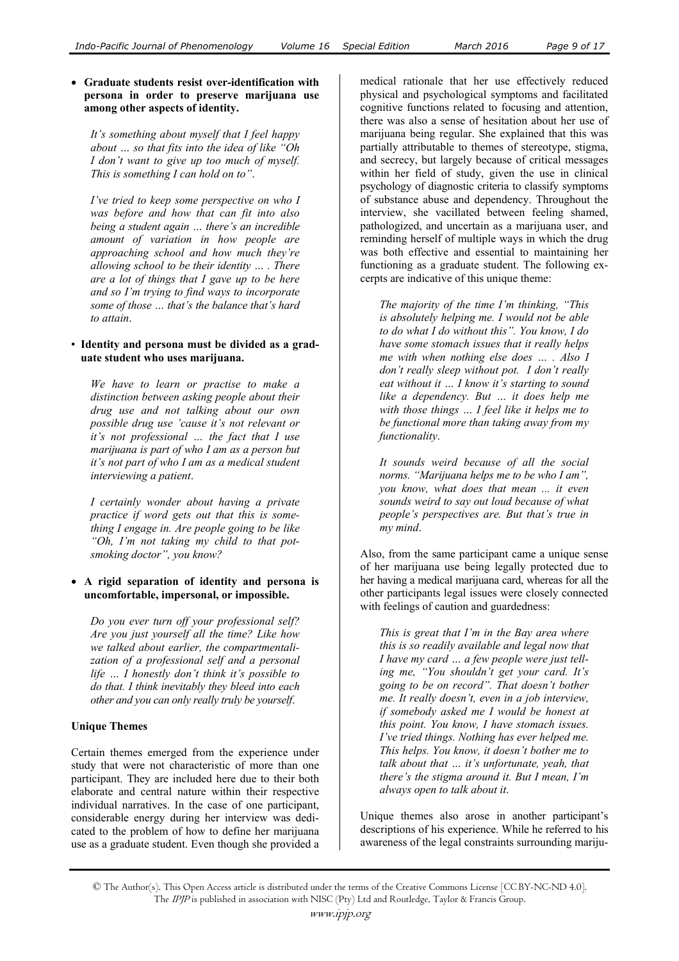### • **Graduate students resist over-identification with persona in order to preserve marijuana use among other aspects of identity.**

*It's something about myself that I feel happy about … so that fits into the idea of like "Oh I don't want to give up too much of myself. This is something I can hold on to"*.

*I've tried to keep some perspective on who I was before and how that can fit into also being a student again … there's an incredible amount of variation in how people are approaching school and how much they're allowing school to be their identity … . There are a lot of things that I gave up to be here and so I'm trying to find ways to incorporate some of those … that's the balance that's hard to attain*.

#### ▪ **Identity and persona must be divided as a graduate student who uses marijuana.**

*We have to learn or practise to make a distinction between asking people about their drug use and not talking about our own possible drug use 'cause it's not relevant or it's not professional … the fact that I use marijuana is part of who I am as a person but it's not part of who I am as a medical student interviewing a patient*.

*I certainly wonder about having a private practice if word gets out that this is something I engage in. Are people going to be like "Oh, I'm not taking my child to that potsmoking doctor", you know?*

### • **A rigid separation of identity and persona is uncomfortable, impersonal, or impossible.**

*Do you ever turn off your professional self? Are you just yourself all the time? Like how we talked about earlier, the compartmentalization of a professional self and a personal life … I honestly don't think it's possible to do that. I think inevitably they bleed into each other and you can only really truly be yourself*.

# **Unique Themes**

Certain themes emerged from the experience under study that were not characteristic of more than one participant. They are included here due to their both elaborate and central nature within their respective individual narratives. In the case of one participant, considerable energy during her interview was dedicated to the problem of how to define her marijuana use as a graduate student. Even though she provided a medical rationale that her use effectively reduced physical and psychological symptoms and facilitated cognitive functions related to focusing and attention, there was also a sense of hesitation about her use of marijuana being regular. She explained that this was partially attributable to themes of stereotype, stigma, and secrecy, but largely because of critical messages within her field of study, given the use in clinical psychology of diagnostic criteria to classify symptoms of substance abuse and dependency. Throughout the interview, she vacillated between feeling shamed, pathologized, and uncertain as a marijuana user, and reminding herself of multiple ways in which the drug was both effective and essential to maintaining her functioning as a graduate student. The following excerpts are indicative of this unique theme:

*The majority of the time I'm thinking, "This is absolutely helping me. I would not be able to do what I do without this". You know, I do have some stomach issues that it really helps me with when nothing else does … . Also I don't really sleep without pot. I don't really eat without it … I know it's starting to sound like a dependency. But … it does help me with those things … I feel like it helps me to be functional more than taking away from my functionality*.

*It sounds weird because of all the social norms. "Marijuana helps me to be who I am", you know, what does that mean ... it even sounds weird to say out loud because of what people's perspectives are. But that's true in my mind*.

Also, from the same participant came a unique sense of her marijuana use being legally protected due to her having a medical marijuana card, whereas for all the other participants legal issues were closely connected with feelings of caution and guardedness:

*This is great that I'm in the Bay area where this is so readily available and legal now that I have my card … a few people were just telling me, "You shouldn't get your card. It's going to be on record". That doesn't bother me. It really doesn't, even in a job interview, if somebody asked me I would be honest at this point. You know, I have stomach issues. I've tried things. Nothing has ever helped me. This helps. You know, it doesn't bother me to talk about that … it's unfortunate, yeah, that there's the stigma around it. But I mean, I'm always open to talk about it*.

Unique themes also arose in another participant's descriptions of his experience. While he referred to his awareness of the legal constraints surrounding mariju-

<sup>©</sup> The Author(s). This Open Access article is distributed under the terms of the Creative Commons License [CC BY-NC-ND 4.0]. The IPJP is published in association with NISC (Pty) Ltd and Routledge, Taylor & Francis Group.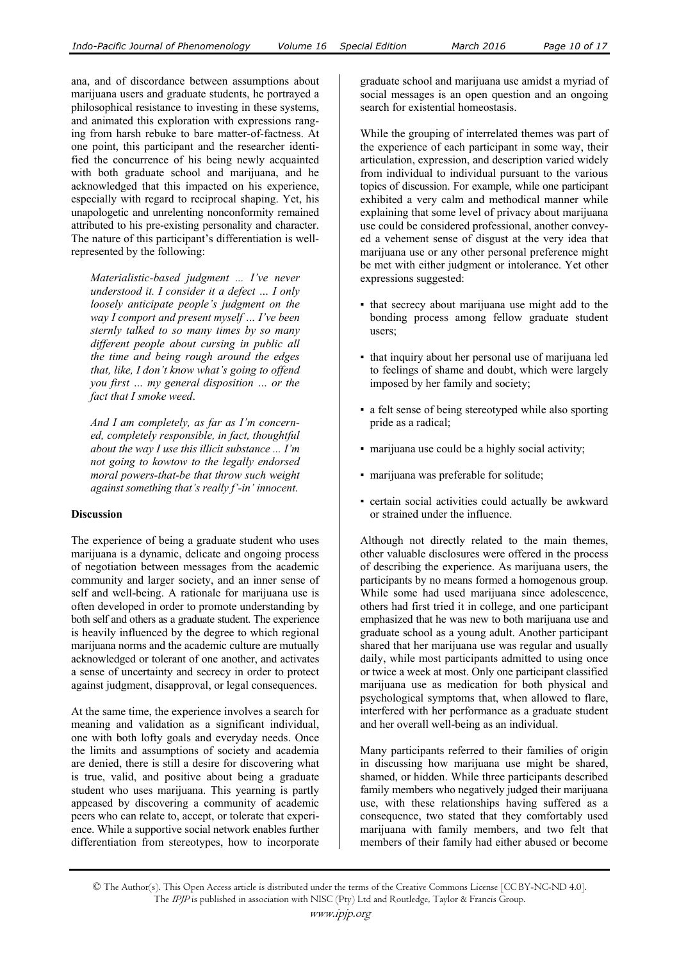ana, and of discordance between assumptions about marijuana users and graduate students, he portrayed a philosophical resistance to investing in these systems, and animated this exploration with expressions ranging from harsh rebuke to bare matter-of-factness. At one point, this participant and the researcher identified the concurrence of his being newly acquainted with both graduate school and marijuana, and he acknowledged that this impacted on his experience, especially with regard to reciprocal shaping. Yet, his unapologetic and unrelenting nonconformity remained attributed to his pre-existing personality and character. The nature of this participant's differentiation is wellrepresented by the following:

*Materialistic-based judgment ... I've never understood it. I consider it a defect … I only loosely anticipate people's judgment on the way I comport and present myself … I've been sternly talked to so many times by so many different people about cursing in public all the time and being rough around the edges that, like, I don't know what's going to offend you first … my general disposition … or the fact that I smoke weed*.

*And I am completely, as far as I'm concerned, completely responsible, in fact, thoughtful about the way I use this illicit substance ... I'm not going to kowtow to the legally endorsed moral powers-that-be that throw such weight against something that's really f'-in' innocent*.

### **Discussion**

The experience of being a graduate student who uses marijuana is a dynamic, delicate and ongoing process of negotiation between messages from the academic community and larger society, and an inner sense of self and well-being. A rationale for marijuana use is often developed in order to promote understanding by both self and others as a graduate student. The experience is heavily influenced by the degree to which regional marijuana norms and the academic culture are mutually acknowledged or tolerant of one another, and activates a sense of uncertainty and secrecy in order to protect against judgment, disapproval, or legal consequences.

At the same time, the experience involves a search for meaning and validation as a significant individual, one with both lofty goals and everyday needs. Once the limits and assumptions of society and academia are denied, there is still a desire for discovering what is true, valid, and positive about being a graduate student who uses marijuana. This yearning is partly appeased by discovering a community of academic peers who can relate to, accept, or tolerate that experience. While a supportive social network enables further differentiation from stereotypes, how to incorporate graduate school and marijuana use amidst a myriad of social messages is an open question and an ongoing search for existential homeostasis.

While the grouping of interrelated themes was part of the experience of each participant in some way, their articulation, expression, and description varied widely from individual to individual pursuant to the various topics of discussion. For example, while one participant exhibited a very calm and methodical manner while explaining that some level of privacy about marijuana use could be considered professional, another conveyed a vehement sense of disgust at the very idea that marijuana use or any other personal preference might be met with either judgment or intolerance. Yet other expressions suggested:

- that secrecy about marijuana use might add to the bonding process among fellow graduate student users;
- that inquiry about her personal use of marijuana led to feelings of shame and doubt, which were largely imposed by her family and society;
- a felt sense of being stereotyped while also sporting pride as a radical;
- marijuana use could be a highly social activity;
- marijuana was preferable for solitude;
- certain social activities could actually be awkward or strained under the influence.

Although not directly related to the main themes, other valuable disclosures were offered in the process of describing the experience. As marijuana users, the participants by no means formed a homogenous group. While some had used marijuana since adolescence, others had first tried it in college, and one participant emphasized that he was new to both marijuana use and graduate school as a young adult. Another participant shared that her marijuana use was regular and usually daily, while most participants admitted to using once or twice a week at most. Only one participant classified marijuana use as medication for both physical and psychological symptoms that, when allowed to flare, interfered with her performance as a graduate student and her overall well-being as an individual.

Many participants referred to their families of origin in discussing how marijuana use might be shared, shamed, or hidden. While three participants described family members who negatively judged their marijuana use, with these relationships having suffered as a consequence, two stated that they comfortably used marijuana with family members, and two felt that members of their family had either abused or become

<sup>©</sup> The Author(s). This Open Access article is distributed under the terms of the Creative Commons License [CC BY-NC-ND 4.0]. The IPJP is published in association with NISC (Pty) Ltd and Routledge, Taylor & Francis Group.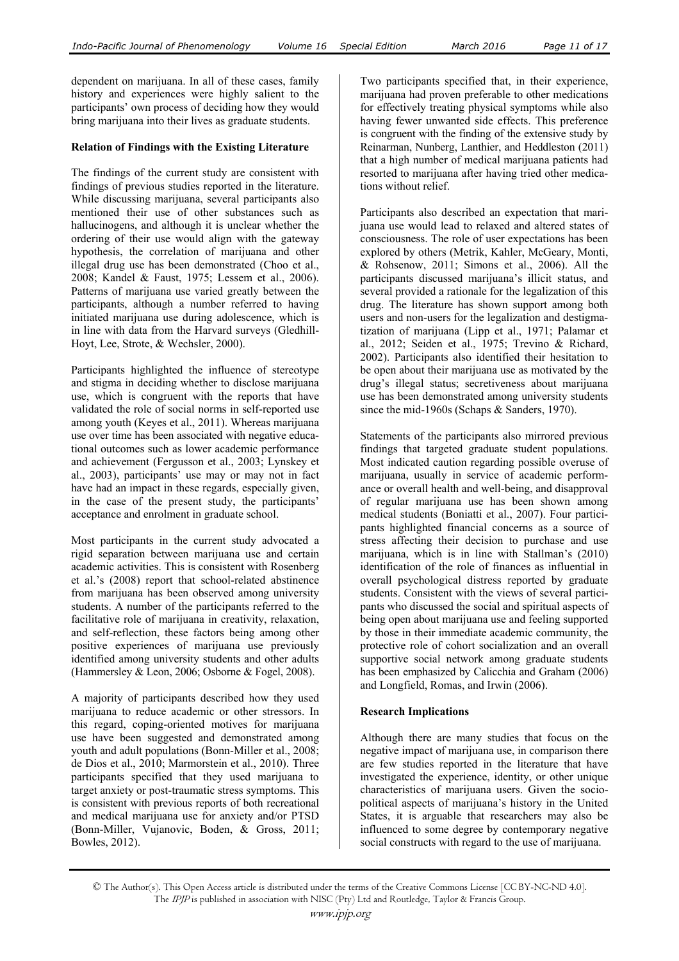dependent on marijuana. In all of these cases, family history and experiences were highly salient to the participants' own process of deciding how they would bring marijuana into their lives as graduate students.

# **Relation of Findings with the Existing Literature**

The findings of the current study are consistent with findings of previous studies reported in the literature. While discussing marijuana, several participants also mentioned their use of other substances such as hallucinogens, and although it is unclear whether the ordering of their use would align with the gateway hypothesis, the correlation of marijuana and other illegal drug use has been demonstrated (Choo et al., 2008; Kandel & Faust, 1975; Lessem et al., 2006). Patterns of marijuana use varied greatly between the participants, although a number referred to having initiated marijuana use during adolescence, which is in line with data from the Harvard surveys (Gledhill-Hoyt, Lee, Strote, & Wechsler, 2000).

Participants highlighted the influence of stereotype and stigma in deciding whether to disclose marijuana use, which is congruent with the reports that have validated the role of social norms in self-reported use among youth (Keyes et al., 2011). Whereas marijuana use over time has been associated with negative educational outcomes such as lower academic performance and achievement (Fergusson et al., 2003; Lynskey et al., 2003), participants' use may or may not in fact have had an impact in these regards, especially given, in the case of the present study, the participants' acceptance and enrolment in graduate school.

Most participants in the current study advocated a rigid separation between marijuana use and certain academic activities. This is consistent with Rosenberg et al.'s (2008) report that school-related abstinence from marijuana has been observed among university students. A number of the participants referred to the facilitative role of marijuana in creativity, relaxation, and self-reflection, these factors being among other positive experiences of marijuana use previously identified among university students and other adults (Hammersley & Leon, 2006; Osborne & Fogel, 2008).

A majority of participants described how they used marijuana to reduce academic or other stressors. In this regard, coping-oriented motives for marijuana use have been suggested and demonstrated among youth and adult populations (Bonn-Miller et al., 2008; de Dios et al., 2010; Marmorstein et al., 2010). Three participants specified that they used marijuana to target anxiety or post-traumatic stress symptoms. This is consistent with previous reports of both recreational and medical marijuana use for anxiety and/or PTSD (Bonn-Miller, Vujanovic, Boden, & Gross, 2011; Bowles, 2012).

Two participants specified that, in their experience, marijuana had proven preferable to other medications for effectively treating physical symptoms while also having fewer unwanted side effects. This preference is congruent with the finding of the extensive study by Reinarman, Nunberg, Lanthier, and Heddleston (2011) that a high number of medical marijuana patients had resorted to marijuana after having tried other medications without relief.

Participants also described an expectation that marijuana use would lead to relaxed and altered states of consciousness. The role of user expectations has been explored by others (Metrik, Kahler, McGeary, Monti, & Rohsenow, 2011; Simons et al., 2006). All the participants discussed marijuana's illicit status, and several provided a rationale for the legalization of this drug. The literature has shown support among both users and non-users for the legalization and destigmatization of marijuana (Lipp et al., 1971; Palamar et al., 2012; Seiden et al., 1975; Trevino & Richard, 2002). Participants also identified their hesitation to be open about their marijuana use as motivated by the drug's illegal status; secretiveness about marijuana use has been demonstrated among university students since the mid-1960s (Schaps & Sanders, 1970).

Statements of the participants also mirrored previous findings that targeted graduate student populations. Most indicated caution regarding possible overuse of marijuana, usually in service of academic performance or overall health and well-being, and disapproval of regular marijuana use has been shown among medical students (Boniatti et al., 2007). Four participants highlighted financial concerns as a source of stress affecting their decision to purchase and use marijuana, which is in line with Stallman's (2010) identification of the role of finances as influential in overall psychological distress reported by graduate students. Consistent with the views of several participants who discussed the social and spiritual aspects of being open about marijuana use and feeling supported by those in their immediate academic community, the protective role of cohort socialization and an overall supportive social network among graduate students has been emphasized by Calicchia and Graham (2006) and Longfield, Romas, and Irwin (2006).

### **Research Implications**

Although there are many studies that focus on the negative impact of marijuana use, in comparison there are few studies reported in the literature that have investigated the experience, identity, or other unique characteristics of marijuana users. Given the sociopolitical aspects of marijuana's history in the United States, it is arguable that researchers may also be influenced to some degree by contemporary negative social constructs with regard to the use of marijuana.

<sup>©</sup> The Author(s). This Open Access article is distributed under the terms of the Creative Commons License [CC BY-NC-ND 4.0]. The IPJP is published in association with NISC (Pty) Ltd and Routledge, Taylor & Francis Group.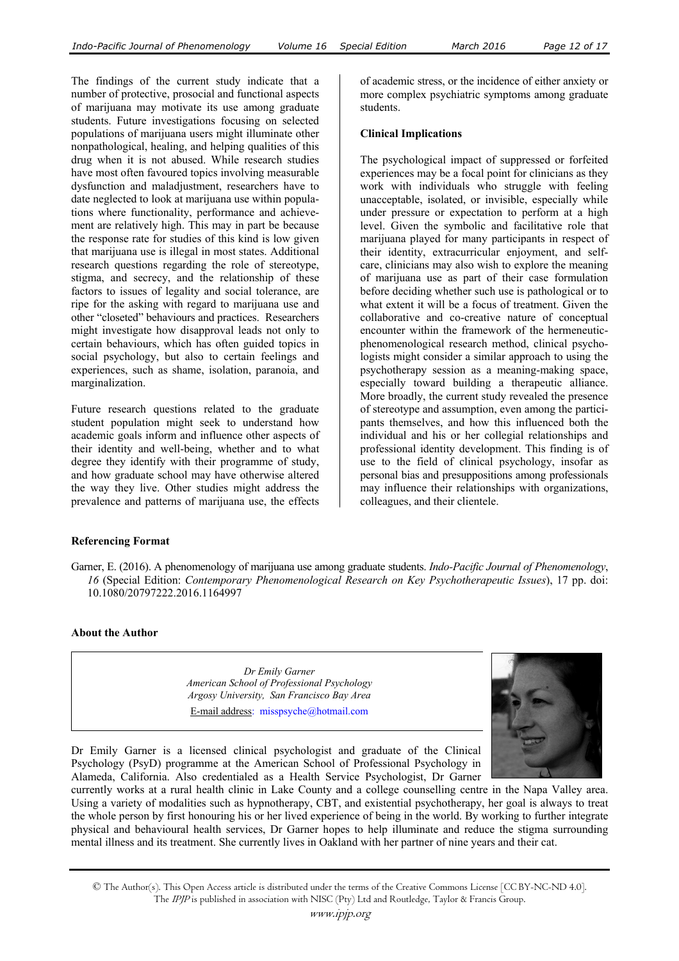The findings of the current study indicate that a number of protective, prosocial and functional aspects of marijuana may motivate its use among graduate students. Future investigations focusing on selected populations of marijuana users might illuminate other nonpathological, healing, and helping qualities of this drug when it is not abused. While research studies have most often favoured topics involving measurable dysfunction and maladjustment, researchers have to date neglected to look at marijuana use within populations where functionality, performance and achievement are relatively high. This may in part be because the response rate for studies of this kind is low given that marijuana use is illegal in most states. Additional research questions regarding the role of stereotype, stigma, and secrecy, and the relationship of these factors to issues of legality and social tolerance, are ripe for the asking with regard to marijuana use and other "closeted" behaviours and practices. Researchers might investigate how disapproval leads not only to certain behaviours, which has often guided topics in social psychology, but also to certain feelings and experiences, such as shame, isolation, paranoia, and marginalization.

Future research questions related to the graduate student population might seek to understand how academic goals inform and influence other aspects of their identity and well-being, whether and to what degree they identify with their programme of study, and how graduate school may have otherwise altered the way they live. Other studies might address the prevalence and patterns of marijuana use, the effects

of academic stress, or the incidence of either anxiety or more complex psychiatric symptoms among graduate students.

### **Clinical Implications**

The psychological impact of suppressed or forfeited experiences may be a focal point for clinicians as they work with individuals who struggle with feeling unacceptable, isolated, or invisible, especially while under pressure or expectation to perform at a high level. Given the symbolic and facilitative role that marijuana played for many participants in respect of their identity, extracurricular enjoyment, and selfcare, clinicians may also wish to explore the meaning of marijuana use as part of their case formulation before deciding whether such use is pathological or to what extent it will be a focus of treatment. Given the collaborative and co-creative nature of conceptual encounter within the framework of the hermeneuticphenomenological research method, clinical psychologists might consider a similar approach to using the psychotherapy session as a meaning-making space, especially toward building a therapeutic alliance. More broadly, the current study revealed the presence of stereotype and assumption, even among the participants themselves, and how this influenced both the individual and his or her collegial relationships and professional identity development. This finding is of use to the field of clinical psychology, insofar as personal bias and presuppositions among professionals may influence their relationships with organizations, colleagues, and their clientele.

### **Referencing Format**

Garner, E. (2016). A phenomenology of marijuana use among graduate students. *Indo-Pacific Journal of Phenomenology*, *16* (Special Edition: *Contemporary Phenomenological Research on Key Psychotherapeutic Issues*), 17 pp. doi: 10.1080/20797222.2016.1164997

### **About the Author**

*Dr Emily Garner American School of Professional Psychology Argosy University, San Francisco Bay Area*  E-mail address: misspsyche@hotmail.com



Dr Emily Garner is a licensed clinical psychologist and graduate of the Clinical Psychology (PsyD) programme at the American School of Professional Psychology in Alameda, California. Also credentialed as a Health Service Psychologist, Dr Garner

currently works at a rural health clinic in Lake County and a college counselling centre in the Napa Valley area. Using a variety of modalities such as hypnotherapy, CBT, and existential psychotherapy, her goal is always to treat the whole person by first honouring his or her lived experience of being in the world. By working to further integrate physical and behavioural health services, Dr Garner hopes to help illuminate and reduce the stigma surrounding mental illness and its treatment. She currently lives in Oakland with her partner of nine years and their cat.

<sup>©</sup> The Author(s). This Open Access article is distributed under the terms of the Creative Commons License [CC BY-NC-ND 4.0]. The IPJP is published in association with NISC (Pty) Ltd and Routledge, Taylor & Francis Group.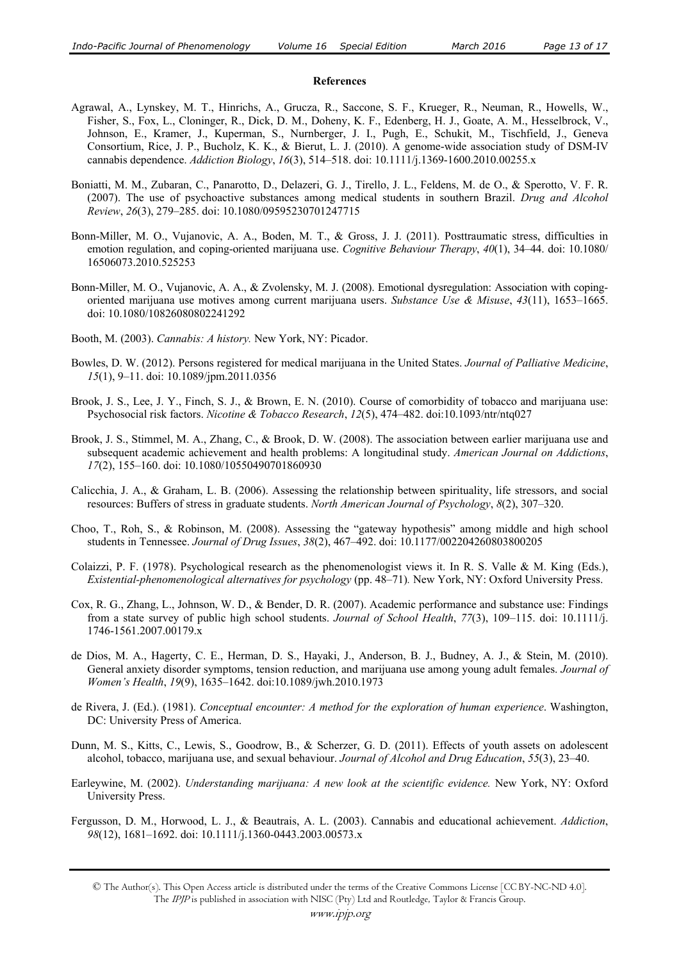#### **References**

- Agrawal, A., Lynskey, M. T., Hinrichs, A., Grucza, R., Saccone, S. F., Krueger, R., Neuman, R., Howells, W., Fisher, S., Fox, L., Cloninger, R., Dick, D. M., Doheny, K. F., Edenberg, H. J., Goate, A. M., Hesselbrock, V., Johnson, E., Kramer, J., Kuperman, S., Nurnberger, J. I., Pugh, E., Schukit, M., Tischfield, J., Geneva Consortium, Rice, J. P., Bucholz, K. K., & Bierut, L. J. (2010). A genome-wide association study of DSM-IV cannabis dependence. *Addiction Biology*, *16*(3), 514–518. doi: 10.1111/j.1369-1600.2010.00255.x
- Boniatti, M. M., Zubaran, C., Panarotto, D., Delazeri, G. J., Tirello, J. L., Feldens, M. de O., & Sperotto, V. F. R. (2007). The use of psychoactive substances among medical students in southern Brazil. *Drug and Alcohol Review*, *26*(3), 279–285. doi: 10.1080/09595230701247715
- Bonn-Miller, M. O., Vujanovic, A. A., Boden, M. T., & Gross, J. J. (2011). Posttraumatic stress, difficulties in emotion regulation, and coping-oriented marijuana use. *Cognitive Behaviour Therapy*, *40*(1), 34–44. doi: 10.1080/ 16506073.2010.525253
- Bonn-Miller, M. O., Vujanovic, A. A., & Zvolensky, M. J. (2008). Emotional dysregulation: Association with copingoriented marijuana use motives among current marijuana users. *Substance Use & Misuse*, *43*(11), 1653–1665. doi: 10.1080/10826080802241292
- Booth, M. (2003). *Cannabis: A history.* New York, NY: Picador.
- Bowles, D. W. (2012). Persons registered for medical marijuana in the United States. *Journal of Palliative Medicine*, *15*(1), 9–11. doi: 10.1089/jpm.2011.0356
- Brook, J. S., Lee, J. Y., Finch, S. J., & Brown, E. N. (2010). Course of comorbidity of tobacco and marijuana use: Psychosocial risk factors. *Nicotine & Tobacco Research*, *12*(5), 474–482. doi:10.1093/ntr/ntq027
- Brook, J. S., Stimmel, M. A., Zhang, C., & Brook, D. W. (2008). The association between earlier marijuana use and subsequent academic achievement and health problems: A longitudinal study. *American Journal on Addictions*, *17*(2), 155–160. doi: 10.1080/10550490701860930
- Calicchia, J. A., & Graham, L. B. (2006). Assessing the relationship between spirituality, life stressors, and social resources: Buffers of stress in graduate students. *North American Journal of Psychology*, *8*(2), 307–320.
- Choo, T., Roh, S., & Robinson, M. (2008). Assessing the "gateway hypothesis" among middle and high school students in Tennessee. *Journal of Drug Issues*, *38*(2), 467–492. doi: 10.1177/002204260803800205
- Colaizzi, P. F. (1978). Psychological research as the phenomenologist views it. In R. S. Valle & M. King (Eds.), *Existential-phenomenological alternatives for psychology* (pp. 48–71)*.* New York, NY: Oxford University Press.
- Cox, R. G., Zhang, L., Johnson, W. D., & Bender, D. R. (2007). Academic performance and substance use: Findings from a state survey of public high school students. *Journal of School Health*, *77*(3), 109–115. doi: 10.1111/j. 1746-1561.2007.00179.x
- de Dios, M. A., Hagerty, C. E., Herman, D. S., Hayaki, J., Anderson, B. J., Budney, A. J., & Stein, M. (2010). General anxiety disorder symptoms, tension reduction, and marijuana use among young adult females. *Journal of Women's Health*, *19*(9), 1635–1642. doi:10.1089/jwh.2010.1973
- de Rivera, J. (Ed.). (1981). *Conceptual encounter: A method for the exploration of human experience*. Washington, DC: University Press of America.
- Dunn, M. S., Kitts, C., Lewis, S., Goodrow, B., & Scherzer, G. D. (2011). Effects of youth assets on adolescent alcohol, tobacco, marijuana use, and sexual behaviour. *Journal of Alcohol and Drug Education*, *55*(3), 23–40.
- Earleywine, M. (2002). *Understanding marijuana: A new look at the scientific evidence.* New York, NY: Oxford University Press.
- Fergusson, D. M., Horwood, L. J., & Beautrais, A. L. (2003). Cannabis and educational achievement. *Addiction*, *98*(12), 1681–1692. doi: 10.1111/j.1360-0443.2003.00573.x

<sup>©</sup> The Author(s). This Open Access article is distributed under the terms of the Creative Commons License [CC BY-NC-ND 4.0]. The IPJP is published in association with NISC (Pty) Ltd and Routledge, Taylor & Francis Group.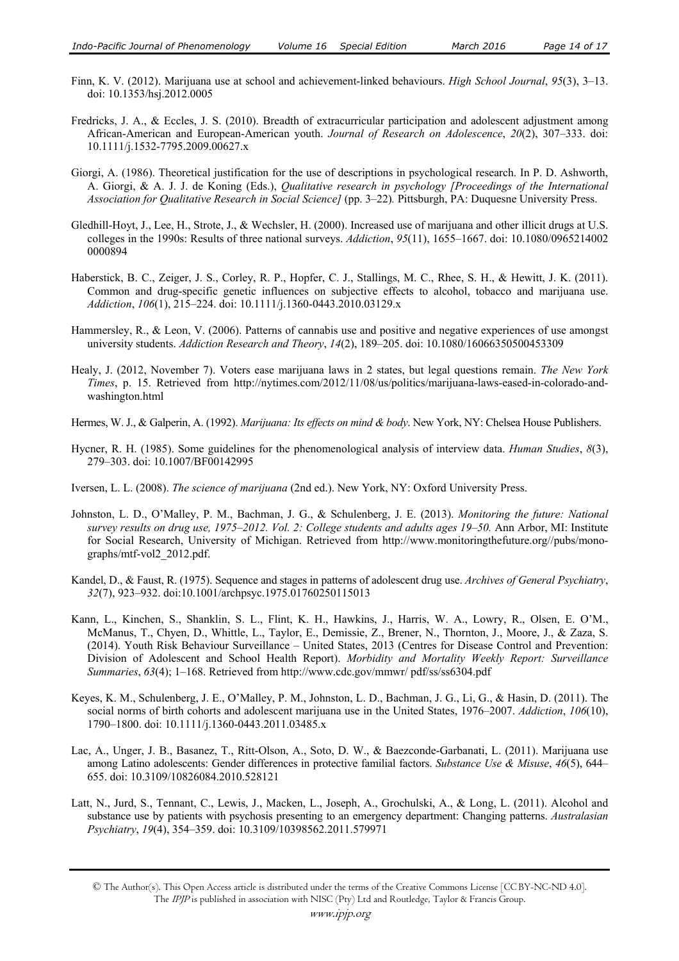- Finn, K. V. (2012). Marijuana use at school and achievement-linked behaviours. *High School Journal*, *95*(3), 3–13. doi: 10.1353/hsj.2012.0005
- Fredricks, J. A., & Eccles, J. S. (2010). Breadth of extracurricular participation and adolescent adjustment among African-American and European-American youth. *Journal of Research on Adolescence*, *20*(2), 307–333. doi: 10.1111/j.1532-7795.2009.00627.x
- Giorgi, A. (1986). Theoretical justification for the use of descriptions in psychological research. In P. D. Ashworth, A. Giorgi, & A. J. J. de Koning (Eds.), *Qualitative research in psychology [Proceedings of the International Association for Qualitative Research in Social Science]* (pp. 3–22)*.* Pittsburgh, PA: Duquesne University Press.
- Gledhill-Hoyt, J., Lee, H., Strote, J., & Wechsler, H. (2000). Increased use of marijuana and other illicit drugs at U.S. colleges in the 1990s: Results of three national surveys. *Addiction*, *95*(11), 1655–1667. doi: 10.1080/0965214002 0000894
- Haberstick, B. C., Zeiger, J. S., Corley, R. P., Hopfer, C. J., Stallings, M. C., Rhee, S. H., & Hewitt, J. K. (2011). Common and drug-specific genetic influences on subjective effects to alcohol, tobacco and marijuana use. *Addiction*, *106*(1), 215–224. doi: 10.1111/j.1360-0443.2010.03129.x
- Hammersley, R., & Leon, V. (2006). Patterns of cannabis use and positive and negative experiences of use amongst university students. *Addiction Research and Theory*, *14*(2), 189–205. doi: 10.1080/16066350500453309
- Healy, J. (2012, November 7). Voters ease marijuana laws in 2 states, but legal questions remain. *The New York Times*, p. 15. Retrieved from http://nytimes.com/2012/11/08/us/politics/marijuana-laws-eased-in-colorado-andwashington.html
- Hermes, W. J., & Galperin, A. (1992). *Marijuana: Its effects on mind & body*. New York, NY: Chelsea House Publishers.
- Hycner, R. H. (1985). Some guidelines for the phenomenological analysis of interview data. *Human Studies*, *8*(3), 279–303. doi: 10.1007/BF00142995
- Iversen, L. L. (2008). *The science of marijuana* (2nd ed.). New York, NY: Oxford University Press.
- Johnston, L. D., O'Malley, P. M., Bachman, J. G., & Schulenberg, J. E. (2013). *Monitoring the future: National survey results on drug use, 1975*–*2012. Vol. 2: College students and adults ages 19*–*50.* Ann Arbor, MI: Institute for Social Research, University of Michigan. Retrieved from http://www.monitoringthefuture.org//pubs/monographs/mtf-vol2\_2012.pdf.
- Kandel, D., & Faust, R. (1975). Sequence and stages in patterns of adolescent drug use. *Archives of General Psychiatry*, *32*(7), 923–932. doi:10.1001/archpsyc.1975.01760250115013
- Kann, L., Kinchen, S., Shanklin, S. L., Flint, K. H., Hawkins, J., Harris, W. A., Lowry, R., Olsen, E. O'M., McManus, T., Chyen, D., Whittle, L., Taylor, E., Demissie, Z., Brener, N., Thornton, J., Moore, J., & Zaza, S. (2014). Youth Risk Behaviour Surveillance – United States, 2013 (Centres for Disease Control and Prevention: Division of Adolescent and School Health Report). *Morbidity and Mortality Weekly Report: Surveillance Summaries*, *63*(4); 1–168. Retrieved from http://www.cdc.gov/mmwr/ pdf/ss/ss6304.pdf
- Keyes, K. M., Schulenberg, J. E., O'Malley, P. M., Johnston, L. D., Bachman, J. G., Li, G., & Hasin, D. (2011). The social norms of birth cohorts and adolescent marijuana use in the United States, 1976–2007. *Addiction*, *106*(10), 1790–1800. doi: 10.1111/j.1360-0443.2011.03485.x
- Lac, A., Unger, J. B., Basanez, T., Ritt-Olson, A., Soto, D. W., & Baezconde-Garbanati, L. (2011). Marijuana use among Latino adolescents: Gender differences in protective familial factors. *Substance Use & Misuse*, *46*(5), 644– 655. doi: 10.3109/10826084.2010.528121
- Latt, N., Jurd, S., Tennant, C., Lewis, J., Macken, L., Joseph, A., Grochulski, A., & Long, L. (2011). Alcohol and substance use by patients with psychosis presenting to an emergency department: Changing patterns. *Australasian Psychiatry*, *19*(4), 354–359. doi: 10.3109/10398562.2011.579971

<sup>©</sup> The Author(s). This Open Access article is distributed under the terms of the Creative Commons License [CC BY-NC-ND 4.0]. The IPJP is published in association with NISC (Pty) Ltd and Routledge, Taylor & Francis Group.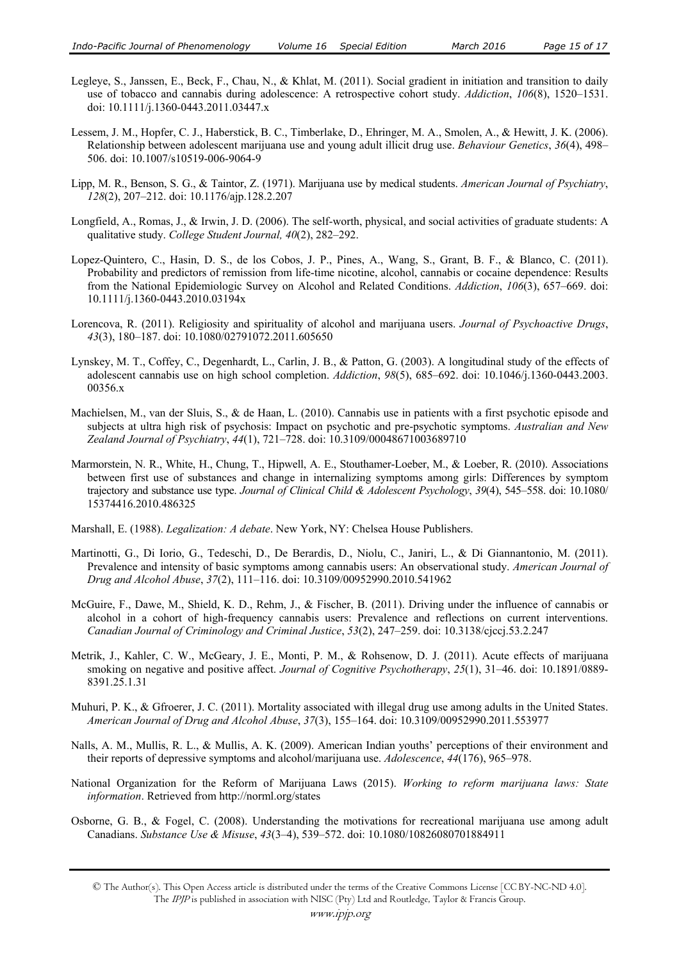- Legleye, S., Janssen, E., Beck, F., Chau, N., & Khlat, M. (2011). Social gradient in initiation and transition to daily use of tobacco and cannabis during adolescence: A retrospective cohort study. *Addiction*, *106*(8), 1520–1531. doi: 10.1111/j.1360-0443.2011.03447.x
- Lessem, J. M., Hopfer, C. J., Haberstick, B. C., Timberlake, D., Ehringer, M. A., Smolen, A., & Hewitt, J. K. (2006). Relationship between adolescent marijuana use and young adult illicit drug use. *Behaviour Genetics*, *36*(4), 498– 506. doi: 10.1007/s10519-006-9064-9
- Lipp, M. R., Benson, S. G., & Taintor, Z. (1971). Marijuana use by medical students. *American Journal of Psychiatry*, *128*(2), 207–212. doi: 10.1176/ajp.128.2.207
- Longfield, A., Romas, J., & Irwin, J. D. (2006). The self-worth, physical, and social activities of graduate students: A qualitative study. *College Student Journal, 40*(2), 282–292.
- Lopez-Quintero, C., Hasin, D. S., de los Cobos, J. P., Pines, A., Wang, S., Grant, B. F., & Blanco, C. (2011). Probability and predictors of remission from life-time nicotine, alcohol, cannabis or cocaine dependence: Results from the National Epidemiologic Survey on Alcohol and Related Conditions. *Addiction*, *106*(3), 657–669. doi: 10.1111/j.1360-0443.2010.03194x
- Lorencova, R. (2011). Religiosity and spirituality of alcohol and marijuana users. *Journal of Psychoactive Drugs*, *43*(3), 180–187. doi: 10.1080/02791072.2011.605650
- Lynskey, M. T., Coffey, C., Degenhardt, L., Carlin, J. B., & Patton, G. (2003). A longitudinal study of the effects of adolescent cannabis use on high school completion. *Addiction*, *98*(5), 685–692. doi: 10.1046/j.1360-0443.2003. 00356.x
- Machielsen, M., van der Sluis, S., & de Haan, L. (2010). Cannabis use in patients with a first psychotic episode and subjects at ultra high risk of psychosis: Impact on psychotic and pre-psychotic symptoms. *Australian and New Zealand Journal of Psychiatry*, *44*(1), 721–728. doi: 10.3109/00048671003689710
- Marmorstein, N. R., White, H., Chung, T., Hipwell, A. E., Stouthamer-Loeber, M., & Loeber, R. (2010). Associations between first use of substances and change in internalizing symptoms among girls: Differences by symptom trajectory and substance use type. *Journal of Clinical Child & Adolescent Psychology*, *39*(4), 545–558. doi: 10.1080/ 15374416.2010.486325
- Marshall, E. (1988). *Legalization: A debate*. New York, NY: Chelsea House Publishers.
- Martinotti, G., Di Iorio, G., Tedeschi, D., De Berardis, D., Niolu, C., Janiri, L., & Di Giannantonio, M. (2011). Prevalence and intensity of basic symptoms among cannabis users: An observational study. *American Journal of Drug and Alcohol Abuse*, *37*(2), 111–116. doi: 10.3109/00952990.2010.541962
- McGuire, F., Dawe, M., Shield, K. D., Rehm, J., & Fischer, B. (2011). Driving under the influence of cannabis or alcohol in a cohort of high-frequency cannabis users: Prevalence and reflections on current interventions. *Canadian Journal of Criminology and Criminal Justice*, *53*(2), 247–259. doi: 10.3138/cjccj.53.2.247
- Metrik, J., Kahler, C. W., McGeary, J. E., Monti, P. M., & Rohsenow, D. J. (2011). Acute effects of marijuana smoking on negative and positive affect. *Journal of Cognitive Psychotherapy*, *25*(1), 31–46. doi: 10.1891/0889- 8391.25.1.31
- Muhuri, P. K., & Gfroerer, J. C. (2011). Mortality associated with illegal drug use among adults in the United States. *American Journal of Drug and Alcohol Abuse*, *37*(3), 155–164. doi: 10.3109/00952990.2011.553977
- Nalls, A. M., Mullis, R. L., & Mullis, A. K. (2009). American Indian youths' perceptions of their environment and their reports of depressive symptoms and alcohol/marijuana use. *Adolescence*, *44*(176), 965–978.
- National Organization for the Reform of Marijuana Laws (2015). *Working to reform marijuana laws: State information*. Retrieved from http://norml.org/states
- Osborne, G. B., & Fogel, C. (2008). Understanding the motivations for recreational marijuana use among adult Canadians. *Substance Use & Misuse*, *43*(3–4), 539–572. doi: 10.1080/10826080701884911

<sup>©</sup> The Author(s). This Open Access article is distributed under the terms of the Creative Commons License [CC BY-NC-ND 4.0]. The IPJP is published in association with NISC (Pty) Ltd and Routledge, Taylor & Francis Group.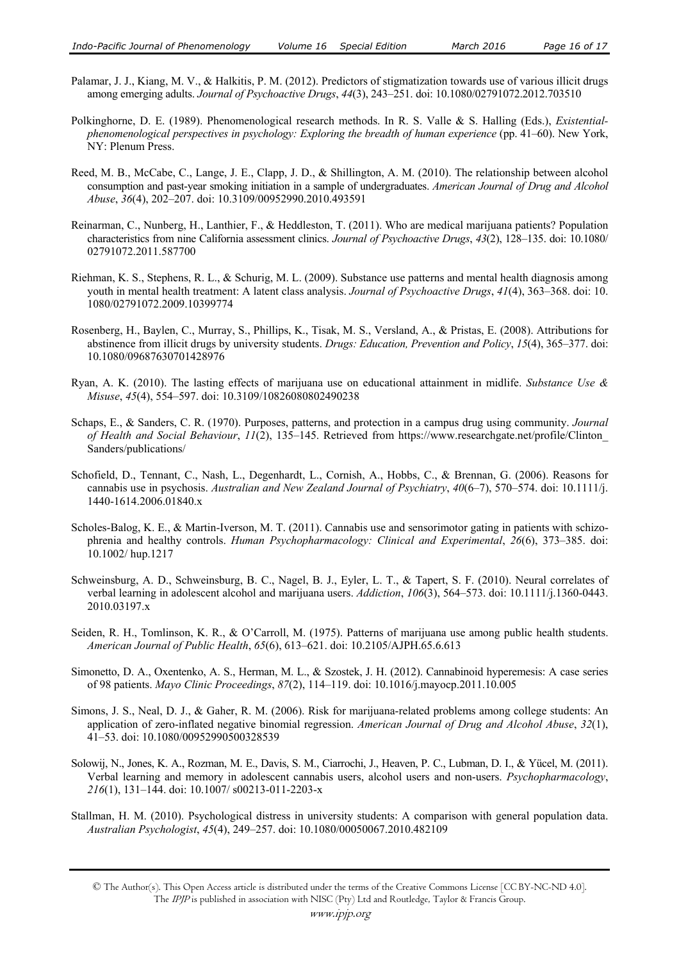- Palamar, J. J., Kiang, M. V., & Halkitis, P. M. (2012). Predictors of stigmatization towards use of various illicit drugs among emerging adults. *Journal of Psychoactive Drugs*, *44*(3), 243–251. doi: 10.1080/02791072.2012.703510
- Polkinghorne, D. E. (1989). Phenomenological research methods. In R. S. Valle & S. Halling (Eds.), *Existentialphenomenological perspectives in psychology: Exploring the breadth of human experience* (pp. 41–60). New York, NY: Plenum Press.
- Reed, M. B., McCabe, C., Lange, J. E., Clapp, J. D., & Shillington, A. M. (2010). The relationship between alcohol consumption and past-year smoking initiation in a sample of undergraduates. *American Journal of Drug and Alcohol Abuse*, *36*(4), 202–207. doi: 10.3109/00952990.2010.493591
- Reinarman, C., Nunberg, H., Lanthier, F., & Heddleston, T. (2011). Who are medical marijuana patients? Population characteristics from nine California assessment clinics. *Journal of Psychoactive Drugs*, *43*(2), 128–135. doi: 10.1080/ 02791072.2011.587700
- Riehman, K. S., Stephens, R. L., & Schurig, M. L. (2009). Substance use patterns and mental health diagnosis among youth in mental health treatment: A latent class analysis. *Journal of Psychoactive Drugs*, *41*(4), 363–368. doi: 10. 1080/02791072.2009.10399774
- Rosenberg, H., Baylen, C., Murray, S., Phillips, K., Tisak, M. S., Versland, A., & Pristas, E. (2008). Attributions for abstinence from illicit drugs by university students. *Drugs: Education, Prevention and Policy*, *15*(4), 365–377. doi: 10.1080/09687630701428976
- Ryan, A. K. (2010). The lasting effects of marijuana use on educational attainment in midlife. *Substance Use & Misuse*, *45*(4), 554–597. doi: 10.3109/10826080802490238
- Schaps, E., & Sanders, C. R. (1970). Purposes, patterns, and protection in a campus drug using community. *Journal of Health and Social Behaviour*, *11*(2), 135–145. Retrieved from https://www.researchgate.net/profile/Clinton\_ Sanders/publications/
- Schofield, D., Tennant, C., Nash, L., Degenhardt, L., Cornish, A., Hobbs, C., & Brennan, G. (2006). Reasons for cannabis use in psychosis. *Australian and New Zealand Journal of Psychiatry*, *40*(6–7), 570–574. doi: 10.1111/j. 1440-1614.2006.01840.x
- Scholes-Balog, K. E., & Martin-Iverson, M. T. (2011). Cannabis use and sensorimotor gating in patients with schizophrenia and healthy controls. *Human Psychopharmacology: Clinical and Experimental*, *26*(6), 373–385. doi: 10.1002/ hup.1217
- Schweinsburg, A. D., Schweinsburg, B. C., Nagel, B. J., Eyler, L. T., & Tapert, S. F. (2010). Neural correlates of verbal learning in adolescent alcohol and marijuana users. *Addiction*, *106*(3), 564–573. doi: 10.1111/j.1360-0443. 2010.03197.x
- Seiden, R. H., Tomlinson, K. R., & O'Carroll, M. (1975). Patterns of marijuana use among public health students. *American Journal of Public Health*, *65*(6), 613–621. doi: 10.2105/AJPH.65.6.613
- Simonetto, D. A., Oxentenko, A. S., Herman, M. L., & Szostek, J. H. (2012). Cannabinoid hyperemesis: A case series of 98 patients. *Mayo Clinic Proceedings*, *87*(2), 114–119. doi: 10.1016/j.mayocp.2011.10.005
- Simons, J. S., Neal, D. J., & Gaher, R. M. (2006). Risk for marijuana-related problems among college students: An application of zero-inflated negative binomial regression. *American Journal of Drug and Alcohol Abuse*, *32*(1), 41–53. doi: 10.1080/00952990500328539
- Solowij, N., Jones, K. A., Rozman, M. E., Davis, S. M., Ciarrochi, J., Heaven, P. C., Lubman, D. I., & Yücel, M. (2011). Verbal learning and memory in adolescent cannabis users, alcohol users and non-users. *Psychopharmacology*, *216*(1), 131–144. doi: 10.1007/ s00213-011-2203-x
- Stallman, H. M. (2010). Psychological distress in university students: A comparison with general population data. *Australian Psychologist*, *45*(4), 249–257. doi: 10.1080/00050067.2010.482109

<sup>©</sup> The Author(s). This Open Access article is distributed under the terms of the Creative Commons License [CC BY-NC-ND 4.0]. The IPJP is published in association with NISC (Pty) Ltd and Routledge, Taylor & Francis Group.